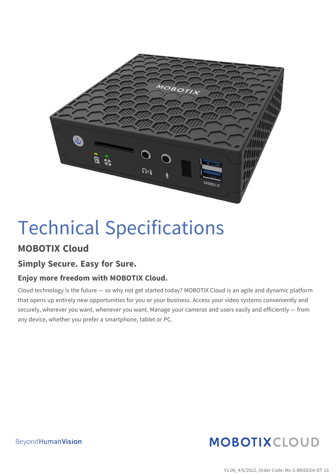

# Technical Specifications

#### **MOBOTIX Cloud**

#### **Simply Secure. Easy for Sure.**

#### **Enjoy more freedom with MOBOTIX Cloud.**

Cloud technology is the future — so why not get started today? MOBOTIX Cloud is an agile and dynamic platform that opens up entirely new opportunities for you or your business. Access your video systems conveniently and securely, wherever you want, whenever you want. Manage your cameras and users easily and efficiently — from any device, whether you prefer a smartphone, tablet or PC.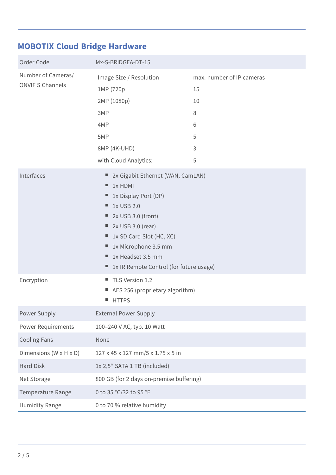### **MOBOTIX Cloud Bridge Hardware**

| Order Code                                    | Mx-S-BRIDGEA-DT-15                                                                                                                                                                                                                                                      |                                                                |
|-----------------------------------------------|-------------------------------------------------------------------------------------------------------------------------------------------------------------------------------------------------------------------------------------------------------------------------|----------------------------------------------------------------|
| Number of Cameras/<br><b>ONVIF S Channels</b> | Image Size / Resolution<br>1MP (720p<br>2MP (1080p)<br>3MP<br>4MP<br>5MP<br>8MP (4K-UHD)<br>with Cloud Analytics:                                                                                                                                                       | max. number of IP cameras<br>15<br>10<br>8<br>6<br>5<br>3<br>5 |
| Interfaces                                    | 2x Gigabit Ethernet (WAN, CamLAN)<br>٠<br>1x HDMI<br>ш<br>1x Display Port (DP)<br>1x USB 2.0<br>2x USB 3.0 (front)<br>ш,<br>2x USB 3.0 (rear)<br>ш,<br>1x SD Card Slot (HC, XC)<br>1x Microphone 3.5 mm<br>1x Headset 3.5 mm<br>1x IR Remote Control (for future usage) |                                                                |
| Encryption                                    | TLS Version 1.2<br>AES 256 (proprietary algorithm)<br><b>HTTPS</b>                                                                                                                                                                                                      |                                                                |
| Power Supply                                  | <b>External Power Supply</b>                                                                                                                                                                                                                                            |                                                                |
| <b>Power Requirements</b>                     | 100-240 V AC, typ. 10 Watt                                                                                                                                                                                                                                              |                                                                |
| <b>Cooling Fans</b>                           | None                                                                                                                                                                                                                                                                    |                                                                |
| Dimensions ( $W \times H \times D$ )          | 127 x 45 x 127 mm/5 x 1.75 x 5 in                                                                                                                                                                                                                                       |                                                                |
| Hard Disk                                     | 1x 2,5" SATA 1 TB (included)                                                                                                                                                                                                                                            |                                                                |
| Net Storage                                   | 800 GB (for 2 days on-premise buffering)                                                                                                                                                                                                                                |                                                                |
| Temperature Range                             | 0 to 35 °C/32 to 95 °F                                                                                                                                                                                                                                                  |                                                                |
| <b>Humidity Range</b>                         | 0 to 70 % relative humidity                                                                                                                                                                                                                                             |                                                                |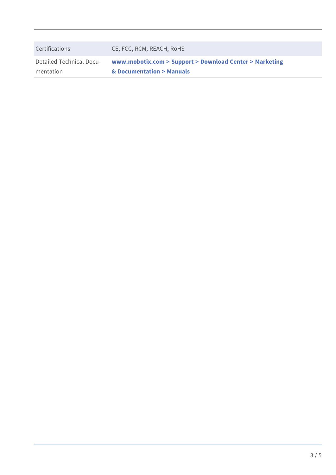| Detailed Technical Docu- | www.mobotix.com > Support > Download Center > Marketing |
|--------------------------|---------------------------------------------------------|
| Certifications           | CE, FCC, RCM, REACH, RoHS                               |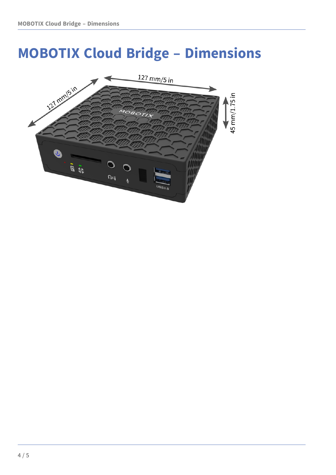## **MOBOTIX Cloud Bridge – Dimensions**